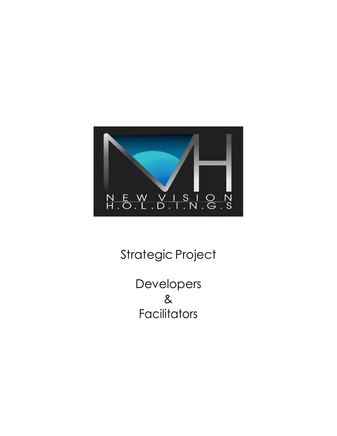

# Strategic Project

Developers & **Facilitators**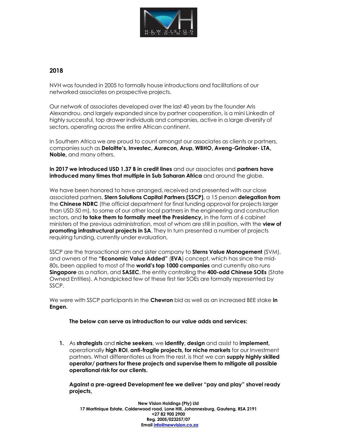

# **2018**

NVH was founded in 2005 to formally house introductions and facilitations of our networked associates on prospective projects.

Our network of associates developed over the last 40 years by the founder Aris Alexandrou, and largely expanded since by partner cooperation, is a mini LinkedIn of highly successful, top drawer individuals and companies, active in a large diversity of sectors, operating across the entire African continent.

In Southern Africa we are proud to count amongst our associates as clients or partners, companies such as **Deloitte's, Investec, Aurecon, Arup, WBHO, Aveng-Grinaker- LTA, Noble,** and many others.

## **In 2017 we introduced USD 1.37 B in credit lines** and our associates and **partners have introduced many times that multiple in Sub Saharan Africa** and around the globe.

We have been honored to have arranged, received and presented with our close associated partners, **Stern Solutions Capital Partners (SSCP)**, a 15 person **delegation from** the **Chinese NDRC** (the official department for final funding approval for projects larger than USD 50 m), to some of our other local partners in the engineering and construction sectors, and **to take them to formally meet the Presidency,** in the form of 6 cabinet ministers of the previous administration, most of whom are still in position, with the **view of promoting infrastructural projects in SA**. They In turn presented a number of projects requiring funding, currently under evaluation,

SSCP are the transactional arm and sister company to **Sterns Value Management** (SVM), and owners of the **"Economic Value Added"** (**EVA**) concept, which has since the mid-80s, been applied to most of the **world's top 1000 companies** and currently also runs **Singapore** as a nation, and **SASEC**, the entity controlling the **400-odd Chinese SOEs** (State Owned Entities). A handpicked few of these first tier SOEs are formally represented by SSCP.

We were with SSCP participants in the **Chevron** bid as well as an increased BEE stake **in Engen.**

## **The below can serve as introduction to our value adds and services:**

**1.** As **strategists** and **niche seekers**, we **identify, design** and assist to **implement,** operationally **high ROI**, **anti-fragile projects, for niche markets** for our Investment partners. What differentiates us from the rest, is that we can **supply highly skilled operator/ partners for these projects and supervise them to mitigate all possible operational risk for our clients.**

**Against a pre-agreed Development fee we deliver "pay and play" shovel ready projects,**

**New Vision Holdings (Pty) Ltd 17 Martinique Estate, Calderwood road, Lone Hill, Johannesburg, Gauteng, RSA 2191 +27 82 900 2900 Reg. 2005/023257/07 Email [info@newvision.co.za](mailto:info@newvision.co.za)**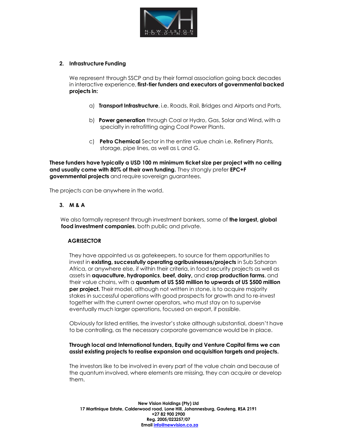

# **2. Infrastructure Funding**

We represent through SSCP and by their formal association going back decades in interactive experience, **first-tier funders and executors of governmental backed projects in:**

- a) **Transport Infrastructure**, i.e. Roads, Rail, Bridges and Airports and Ports,
- b) **Power generation** through Coal or Hydro, Gas, Solar and Wind, with a specialty in retrofitting aging Coal Power Plants.
- c) **Petro Chemical** Sector in the entire value chain i.e. Refinery Plants, storage, pipe lines, as well as L and G.

**These funders have typically a USD 100 m minimum ticket size per project with no ceiling and usually come with 80% of their own funding.** They strongly prefer **EPC+F governmental projects** and require sovereign guarantees.

The projects can be anywhere in the world.

## **3. M & A**

We also formally represent through investment bankers, some of **the largest, global food investment companies**, both public and private.

## **AGRISECTOR**

They have appointed us as gatekeepers, to source for them opportunities to invest in **existing, successfully operating agribusinesses/projects** in Sub Saharan Africa, or anywhere else, if within their criteria, in food security projects as well as assets in **aquaculture, hydroponics**, **beef, dairy,** and **crop production farms**, and their value chains, with a **quantum of US \$50 million to upwards of US \$500 million per project.** Their model, although not written in stone, is to acquire majority stakes in successful operations with good prospects for growth and to re-invest together with the current owner operators, who must stay on to supervise eventually much larger operations, focused on export, if possible.

Obviously for listed entities, the investor's stake although substantial, doesn't have to be controlling, as the necessary corporate governance would be in place.

#### **Through local and International funders, Equity and Venture Capital firms we can assist existing projects to realise expansion and acquisition targets and projects.**

The investors like to be involved in every part of the value chain and because of the quantum involved, where elements are missing, they can acquire or develop them.

**New Vision Holdings (Pty) Ltd 17 Martinique Estate, Calderwood road, Lone Hill, Johannesburg, Gauteng, RSA 2191 +27 82 900 2900 Reg. 2005/023257/07 Email [info@newvision.co.za](mailto:info@newvision.co.za)**